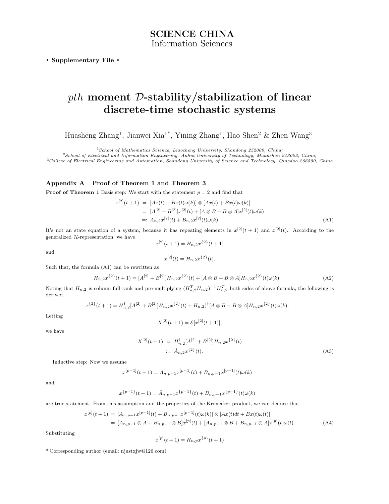**. Supplementary File .**

## *pth* **moment** *D***-stability/stabilization of linear discrete-time stochastic systems**

Huasheng Zhang<sup>1</sup>, Jianwei Xia<sup>1\*</sup>, Yining Zhang<sup>1</sup>, Hao Shen<sup>2</sup> & Zhen Wang<sup>3</sup>

<sup>1</sup>*School of Mathematics Science, Liaocheng University, Shandong 252000, China;*

<sup>2</sup>*School of Electrical and Information Engineering, Anhui University of Technology, Maanshan 243002, China;* <sup>3</sup>*College of Electrical Engineering and Automation, Shandong University of Science and Technology, Qingdao 266590, China*

## **Appendix A Proof of Theorem 1 and Theorem 3**

**Proof of Theorem 1** Basis step: We start with the statement  $p = 2$  and find that

$$
x^{[2]}(t+1) = [Ax(t) + Bx(t)\omega(k)] \otimes [Ax(t) + Bx(t)\omega(k)]
$$
  
= 
$$
[A^{[2]} + B^{[2]}]x^{[2]}(t) + [A \otimes B + B \otimes A]x^{[2]}(t)\omega(k)
$$
  
=: 
$$
A_{n,2}x^{[2]}(t) + B_{n,2}x^{[2]}(t)\omega(k).
$$
 (A1)

It's not an state equation of a system, because it has repeating elements in  $x^{[2]}(t+1)$  and  $x^{[2]}(t)$ . According to the generalized *H*-representation, we have

and

$$
x^{[2]}(t+1) = H_{n,2}x^{\{2\}}(t+1)
$$

$$
x^{[2]}(t) = H_{n,2}x^{\{2\}}(t).
$$

Such that, the formula (A1) can be rewritten as

$$
H_{n,2}x^{\{2\}}(t+1) = [A^{[2]} + B^{[2]}]H_{n,2}x^{\{2\}}(t) + [A \otimes B + B \otimes A]H_{n,2}x^{\{2\}}(t)\omega(k). \tag{A2}
$$

Noting that  $H_{n,2}$  is column full rank and pre-multiplying  $(H_{n,2}^TH_{n,2})^{-1}H_{n,2}^T$  both sides of above formula, the following is derived.

$$
x^{\{2\}}(t+1) = H_{n,2}^{\dagger}[A^{[2]} + B^{[2]}]H_{n,2}x^{\{2\}}(t) + H_{n,2})^{\dagger}[A \otimes B + B \otimes A]H_{n,2}x^{\{2\}}(t)\omega(k).
$$

Letting

$$
X^{[2]}(t+1) = \mathcal{E}[x^{[2]}(t+1)],
$$

we have

$$
X^{[2]}(t+1) = H_{n,2}^{\dagger}[A^{[2]} + B^{[2]}]H_{n,2}x^{\{2\}}(t)
$$
  
 :=  $\hat{A}_{n,2}x^{\{2\}}(t)$ . (A3)

Inductive step: Now we assume

*x*

 $x^{[p-1]}(t+1) = A_{n,p-1}x^{[p-1]}(t) + B_{n,p-1}x^{[p-1]}(t)\omega(k)$ 

and

$$
x^{\{p-1\}}(t+1) = \hat{A}_{n,p-1}x^{\{p-1\}}(t) + B_{n,p-1}x^{\{p-1\}}(t)\omega(k)
$$

are true statement. From this assumption and the properties of the Kronecker product, we can deduce that

$$
[p](t+1) = [A_{n,p-1}x^{[p-1]}(t) + B_{n,p-1}x^{[p-1]}(t)\omega(k)] \otimes [Ax(t)dt + Bx(t)\omega(t)]
$$
  
= 
$$
[A_{n,p-1} \otimes A + B_{n,p-1} \otimes B]x^{[p]}(t) + [A_{n,p-1} \otimes B + B_{n,p-1} \otimes A]x^{[p]}(t)\omega(t).
$$
 (A4)

Substituting

$$
x^{[p]}(t+1) = H_{n,p}x^{\{p\}}(t+1)
$$

<sup>\*</sup> Corresponding author (email: njustxjw@126.com)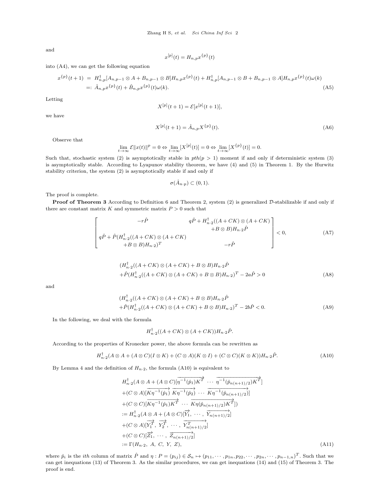and

$$
x^{[p]}(t) = H_{n,p} x^{\{p\}}(t)
$$

into (A4), we can get the following equation

$$
x^{\{p\}}(t+1) = H_{n,p}^{\dagger}[A_{n,p-1} \otimes A + B_{n,p-1} \otimes B]H_{n,p}x^{\{p\}}(t) + H_{n,p}^{\dagger}[A_{n,p-1} \otimes B + B_{n,p-1} \otimes A]H_{n,p}x^{\{p\}}(t)\omega(k)
$$
  
=:  $\hat{A}_{n,p}x^{\{p\}}(t) + \hat{B}_{n,p}x^{\{p\}}(t)\omega(k).$  (A5)

Letting

$$
X^{[p]}(t+1) = \mathcal{E}[x^{[p]}(t+1)],
$$

we have

$$
X^{[p]}(t+1) = \hat{A}_{n,p} X^{\{p\}}(t). \tag{A6}
$$

Observe that

$$
\lim_{t \to \infty} \mathcal{E} ||x(t)||^p = 0 \Leftrightarrow \lim_{t \to \infty} [X^{[p]}(t)] = 0 \Leftrightarrow \lim_{t \to \infty} [X^{\{p\}}(t)] = 0.
$$

Such that, stochastic system (2) is asymptotically stable in  $pth(p > 1)$  moment if and only if deterministic system (3) is asymptotically stable. According to Lyapunov stability theorem, we have (4) and (5) in Theorem 1. By the Hurwitz stability criterion, the system (2) is asymptotically stable if and only if

$$
\sigma(\hat{A}_{n\cdot p}) \subset (0,1).
$$

The proof is complete.

**Proof of Theorem 3** According to Definition 6 and Theorem 2, system (2) is generalized  $D$ -stabilizable if and only if there are constant matrix  $K$  and symmetric matrix  $P > 0$  such that

$$
\begin{bmatrix}\n-r\hat{P} & q\hat{P} + H_{n\cdot 2}^{\dagger}((A + CK) \otimes (A + CK)) \\
+ B \otimes B)H_{n\cdot 2}\hat{P} & \\
q\hat{P} + \hat{P}(H_{n\cdot 2}^{\dagger}((A + CK) \otimes (A + CK)) & & \\
+ B \otimes B)H_{n\cdot 2}\hat{P} & & \\
-r\hat{P}\n\end{bmatrix} < 0,\tag{A7}
$$

$$
(H_{n\cdot 2}^{\dagger}((A+CK)\otimes(A+CK)+B\otimes B)H_{n\cdot 2}\hat{P} + \hat{P}(H_{n\cdot 2}^{\dagger}((A+CK)\otimes(A+CK)+B\otimes B)H_{n\cdot 2})^{T} - 2a\hat{P} > 0
$$
\n(A8)

and

$$
(H_{n\cdot 2}^{\dagger}((A+CK)\otimes(A+CK)+B\otimes B)H_{n\cdot 2}\hat{P} + \hat{P}(H_{n\cdot 2}^{\dagger}((A+CK)\otimes(A+CK)+B\otimes B)H_{n\cdot 2})^{T} - 2b\hat{P} < 0.
$$
 (A9)

In the following, we deal with the formula

$$
H_{n\cdot 2}^{\dagger}((A+CK)\otimes (A+CK))H_{n\cdot 2}\hat{P}.
$$

According to the properties of Kronecker power, the above formula can be rewritten as

$$
H_{n\cdot 2}^{\dagger}(A\otimes A + (A\otimes C)(I\otimes K) + (C\otimes A)(K\otimes I) + (C\otimes C)(K\otimes K))H_{n\cdot 2}\hat{P}.
$$
 (A10)

By Lemma 4 and the definition of  $H_{n-2}$ , the formula (A10) is equivalent to

$$
H_{n\cdot2}^{\dagger}(A\otimes A + (A\otimes C)[\overline{\eta^{-1}(\hat{p}_1)K}^{\dagger}\cdots \overline{\eta^{-1}(\hat{p}_{n(n+1)/2})K}^{\dagger}]
$$
  
+ $(C\otimes A)[\overline{K}\eta^{-1}(\hat{p}_1) \overline{K}\eta^{-1}(\hat{p}_2) \cdots \overline{K}\eta^{-1}(\hat{p}_{n(n+1)/2})]$   
+ $(C\otimes C)[\overline{K}\eta^{-1}(\hat{p}_1)K^{\dagger}\cdots \overline{K}\eta(\hat{p}_{n(n+1)/2})K^{\dagger}])$   
:=  $H_{n\cdot2}^{\dagger}(A\otimes A + (A\otimes C)[\overrightarrow{Y_1}, \cdots, \overline{Y_{n(n+1)/2}}]$   
+ $(C\otimes A)[\overline{Y_1}^{\dagger}, \overline{Y_2}^{\dagger}, \cdots, \overline{Y_{n(n+1)/2}^{\dagger}}]$   
+ $(C\otimes C)[\overline{Z_1}^{\dagger}, \cdots, \overline{Z_{n(n+1)/2}}]$   
+ $(C\otimes C)[\overline{Z_1}^{\dagger}, \cdots, \overline{Z_{n(n+1)/2}}]$   
:=  $\Gamma(H_{n\cdot2}, A, C, Y, Z),$  (A11)

where  $\hat{p}_i$  is the *ith* column of matrix  $\hat{P}$  and  $\eta : P = (p_{ij}) \in S_n \mapsto (p_{11}, \dots, p_{1n}, p_{22}, \dots, p_{2n}, \dots, p_{n-1,n})^T$ . Such that we can get inequations (13) of Theorem 3. As the similar procedures, we can get inequations (14) and (15) of Theorem 3. The proof is end.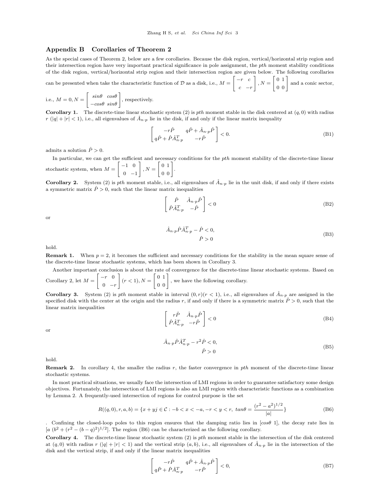## **Appendix B Corollaries of Theorem 2**

As the special cases of Theorem 2, below are a few corollaries. Because the disk region, vertical/horizontal strip region and their intersection region have very important practical significance in pole assignment, the *pth* moment stability conditions of the disk region, vertical/horizontal strip region and their intersection region are given below. The following corollaries

can be presented when take the characteristic function of 
$$
\mathcal{D}
$$
 as a disk, i.e.,  $M = \begin{bmatrix} -r & c \\ c & -r \end{bmatrix}$ ,  $N = \begin{bmatrix} 0 & 1 \\ 0 & 0 \end{bmatrix}$  and a conic sector,

i.e., 
$$
M = 0, N = \begin{bmatrix} \sin\theta & \cos\theta \\ -\cos\theta & \sin\theta \end{bmatrix}
$$
, respectively.

0 *−r*

**Corollary 1.** The discrete-time linear stochastic system (2) is *pth* moment stable in the disk centered at  $(q, 0)$  with radius  $r(|q| + |r| < 1)$ , i.e., all eigenvalues of  $\hat{A}_{n,p}$  lie in the disk, if and only if the linear matrix inequality

$$
\begin{bmatrix} -r\hat{P} & q\hat{P} + \hat{A}_{n\cdot p}\hat{P} \\ q\hat{P} + \hat{P}\hat{A}_{n\cdot p}^T & -r\hat{P} \end{bmatrix} < 0.
$$
 (B1)

admits a solution  $\hat{P} > 0$ .

In particular, we can get the sufficient and necessary conditions for the *pth* moment stability of the discrete-time linear stochastic system, when  $M =$ [ *−*1 0 0 *−*1 ]  $, N =$  $\left[\begin{array}{cc} 0 & 1 \\ 0 & 0 \end{array}\right].$ 

**Corollary 2.** System (2) is *pth* moment stable, i.e., all eigenvalues of  $\hat{A}_{n,p}$  lie in the unit disk, if and only if there exists a symmetric matrix  $\hat{P} > 0$ , such that the linear matrix inequalities

$$
\begin{bmatrix} \hat{P} & \hat{A}_{n \cdot p} \hat{P} \\ \hat{P} \hat{A}_{n \cdot p}^T & -\hat{P} \end{bmatrix} < 0 \tag{B2}
$$

or

$$
\hat{A}_{n \cdot p} \hat{P} \hat{A}_{n \cdot p}^T - \hat{P} < 0,
$$
\n
$$
\hat{P} > 0
$$
\n(B3)

hold.

**Remark 1.** When  $p = 2$ , it becomes the sufficient and necessary conditions for the stability in the mean square sense of the discrete-time linear stochastic systems, which has been shown in Corollary 3.

Another important conclusion is about the rate of convergence for the discrete-time linear stochastic systems. Based on Corollary 2, let  $M =$ [ *−r* 0 ]  $(r < 1), N =$  $\begin{bmatrix} 0 & 1 \\ 0 & 0 \end{bmatrix}$ , we have the following corollary.

**Corollary 3.** System (2) is *pth* moment stable in interval  $(0, r)(r < 1)$ , i.e., all eigenvalues of  $\hat{A}_{n,p}$  are assigned in the specified disk with the center at the origin and the radius  $r$ , if and only if there is a symmetric matrix  $\hat{P} > 0$ , such that the linear matrix inequalities

$$
\begin{bmatrix} r\hat{P} & \hat{A}_{n\cdot p}\hat{P} \\ \hat{P}\hat{A}_{n\cdot p}^T & -r\hat{P} \end{bmatrix} < 0
$$
 (B4)

or

$$
\hat{A}_{n \cdot p} \hat{P} \hat{A}_{n \cdot p}^T - r^2 \hat{P} < 0,
$$
\n
$$
\hat{P} > 0
$$
\n(B5)

hold.

**Remark 2.** In corollary 4, the smaller the radius *r*, the faster convergence in *pth* moment of the discrete-time linear stochastic systems.

In most practical situations, we usually face the intersection of LMI regions in order to guarantee satisfactory some design objectives. Fortunately, the intersection of LMI regions is also an LMI region with characteristic functions as a combination by Lemma 2. A frequently-used intersection of regions for control purpose is the set

$$
R((q,0),r,a,b) = \{x + yj \in C : -b < x < -a, -r < y < r, \ \tan \theta = \frac{(r^2 - a^2)^{1/2}}{|a|}\}\tag{B6}
$$

. Confining the closed-loop poles to this region ensures that the damping ratio lies in [*cosθ* 1], the decay rate lies in  $[a (b^2 + (r^2 - (b - q)^2)^{1/2}]$ . The region (B6) can be characterized as the following corollary.

**Corollary 4.** The discrete-time linear stochastic system (2) is *pth* moment stable in the intersection of the disk centered at  $(q,0)$  with radius  $r(|q|+|r|<1)$  and the vertical strip  $(a,b)$ , i.e., all eigenvalues of  $\hat{A}_{n,p}$  lie in the intersection of the disk and the vertical strip, if and only if the linear matrix inequalities

$$
\begin{bmatrix} -r\hat{P} & q\hat{P} + \hat{A}_{n\cdot p}\hat{P} \\ q\hat{P} + \hat{P}\hat{A}_{n\cdot p}^T & -r\hat{P} \end{bmatrix} < 0,\tag{B7}
$$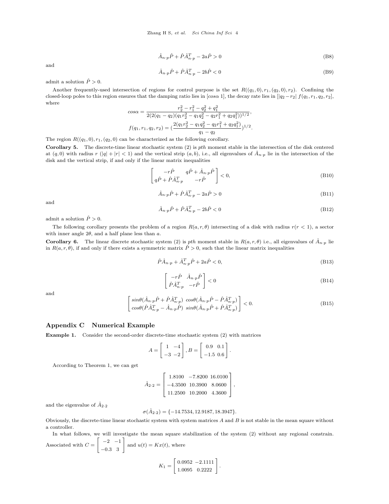$$
\hat{A}_{n \cdot p} \hat{P} + \hat{P} \hat{A}_{n \cdot p}^T - 2a \hat{P} > 0
$$
\n(B8)

and

$$
\hat{A}_{n \cdot p} \hat{P} + \hat{P} \hat{A}_{n \cdot p}^T - 2b \hat{P} < 0 \tag{B9}
$$

admit a solution  $\hat{P} > 0$ .

Another frequently-used intersection of regions for control purpose is the set  $R((q_1, 0), r_1, (q_2, 0), r_2)$ . Confining the closed-loop poles to this region ensures that the damping ratio lies in  $\left[ \cos \alpha 1 \right]$ , the decay rate lies in  $\left[ \left| q_2 - r_2 \right| f(q_1, r_1, q_2, r_2)$ . where

$$
\cos\alpha = \frac{r_2^2 - r_1^2 - q_2^2 + q_1^2}{2(2(q_1 - q_2)(q_1r_2^2 - q_1q_2^2 - q_2r_1^2 + q_2q_1^2))^{1/2}},
$$
  

$$
f(q_1, r_1, q_2, r_2) = \left(\frac{2(q_1r_2^2 - q_1q_2^2 - q_2r_1^2 + q_2q_1^2)}{q_1 - q_2}\right)^{1/2}.
$$

The region  $R((q_1, 0), r_1, (q_2, 0)$  can be characterized as the following corollary.

**Corollary 5.** The discrete-time linear stochastic system (2) is *pth* moment stable in the intersection of the disk centered at  $(q,0)$  with radius r  $(|q|+|r|<1)$  and the vertical strip  $(a,b)$ , i.e., all eigenvalues of  $\hat{A}_{n,p}$  lie in the intersection of the disk and the vertical strip, if and only if the linear matrix inequalities

$$
\begin{bmatrix} -r\hat{P} & q\hat{P} + \hat{A}_{n\cdot p}\hat{P} \\ q\hat{P} + \hat{P}\hat{A}_{n\cdot p}^T & -r\hat{P} \end{bmatrix} < 0,\tag{B10}
$$

$$
\hat{A}_{n \cdot p} \hat{P} + \hat{P} \hat{A}_{n \cdot p}^T - 2a\hat{P} > 0
$$
\n(B11)

and

$$
\hat{A}_{n \cdot p} \hat{P} + \hat{P} \hat{A}_{n \cdot p}^T - 2b \hat{P} < 0 \tag{B12}
$$

admit a solution  $\hat{P} > 0$ .

The following corollary presents the problem of a region *R*(*a, r, θ*) intersecting of a disk with radius *r*(*r <* 1), a sector with inner angle 2*θ*, and a half plane less than *a*.

**Corollary 6.** The linear discrete stochastic system (2) is *pth* moment stable in  $R(a, r, \theta)$  i.e., all eigenvalues of  $\hat{A}_{n}$ <sup>*n*</sup> lie in  $R(a, r, \theta)$ , if and only if there exists a symmetric matrix  $\hat{P} > 0$ , such that the linear matrix inequalities

$$
\hat{P}\hat{A}_{n\cdot p} + \hat{A}_{n\cdot p}^T \hat{P} + 2a\hat{P} < 0,\tag{B13}
$$

$$
\begin{bmatrix} -r\hat{P} & \hat{A}_{n \cdot p} \hat{P} \\ \hat{P}\hat{A}_{n \cdot p}^T & -r\hat{P} \end{bmatrix} < 0
$$
\n(B14)

and

$$
\begin{bmatrix}\n\sin\theta(\hat{A}_{n\cdot p}\hat{P} + \hat{P}\hat{A}_{n\cdot p}^T) & \cos\theta(\hat{A}_{n\cdot p}\hat{P} - \hat{P}\hat{A}_{n\cdot p}^T) \\
\cos\theta(\hat{P}\hat{A}_{n\cdot p}^T - \hat{A}_{n\cdot p}\hat{P}) & \sin\theta(\hat{A}_{n\cdot p}\hat{P} + \hat{P}\hat{A}_{n\cdot p}^T)\n\end{bmatrix} < 0.
$$
\n(B15)

*,*

## **Appendix C Numerical Example**

**Example 1.** Consider the second-order discrete-time stochastic system (2) with matrices

$$
A = \begin{bmatrix} 1 & -4 \\ -3 & -2 \end{bmatrix}, B = \begin{bmatrix} 0.9 & 0.1 \\ -1.5 & 0.6 \end{bmatrix}.
$$

According to Theorem 1, we can get

$$
\hat{A}_{2\cdot 2} = \left[\begin{array}{ccc}1.8100 & -7.8200 & 16.0100\\-4.3500 & 10.3900 & 8.0600\\11.2500 & 10.2000 & 4.3600\end{array}\right]
$$

and the eigenvalue of  $\hat{A}_{2 \cdot 2}$ 

$$
\sigma(\hat{A}_{2\cdot 2}) = \{-14.7534, 12.9187, 18.3947\}.
$$

Obviously, the discrete-time linear stochastic system with system matrices *A* and *B* is not stable in the mean square without a controller.

In what follows, we will investigate the mean square stabilization of the system (2) without any regional constrain. Associated with *C* =  $\begin{bmatrix} -2 & -1 \\ -0.3 & 3 \end{bmatrix}$  and  $u(t) = Kx(t)$ , where

$$
K_1 = \left[ \begin{array}{cc} 0.0952 & -2.1111 \\ 1.0095 & 0.2222 \end{array} \right].
$$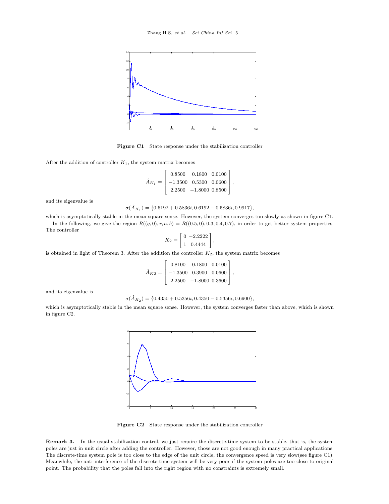

Figure C1 State response under the stabilization controller

After the addition of controller *K*1, the system matrix becomes

$$
\hat{A}_{K_1} = \left[\begin{array}{ccc} 0.8500 & 0.1800 & 0.0100\\ -1.3500 & 0.5300 & 0.0600\\ 2.2500 & -1.8000 & 0.8500 \end{array}\right],
$$

and its eigenvalue is

$$
\sigma(\hat{A}_{K_1}) = \{0.6192 + 0.5836i, 0.6192 - 0.5836i, 0.9917\},\
$$

which is asymptotically stable in the mean square sense. However, the system converges too slowly as shown in figure C1. In the following, we give the region  $R((q, 0), r, a, b) = R((0.5, 0), 0.3, 0.4, 0.7)$ , in order to get better system properties.

The controller  $\sqrt{ }$ 0 *−*2*.*2222

$$
K_2 = \left[ \begin{array}{cc} 0 & -2.2222 \\ 1 & 0.4444 \end{array} \right],
$$

is obtained in light of Theorem 3. After the addition the controller  $K_2$ , the system matrix becomes

$$
\hat{A}_{K2} = \left[\begin{array}{ccc} 0.8100 & 0.1800 & 0.0100\\ -1.3500 & 0.3900 & 0.0600\\ 2.2500 & -1.8000 & 0.3600 \end{array}\right],
$$

and its eigenvalue is

 $\sigma(\hat{A}_{K_2}) = \{0.4350 + 0.5356i, 0.4350 - 0.5356i, 0.6900\},\$ 

which is asymptotically stable in the mean square sense. However, the system converges faster than above, which is shown in figure C2.



**Figure C2** State response under the stabilization controller

**Remark 3.** In the usual stabilization control, we just require the discrete-time system to be stable, that is, the system poles are just in unit circle after adding the controller. However, those are not good enough in many practical applications. The discrete-time system pole is too close to the edge of the unit circle, the convergence speed is very slow(see figure C1). Meanwhile, the anti-interference of the discrete-time system will be very poor if the system poles are too close to original point. The probability that the poles fall into the right region with no constraints is extremely small.